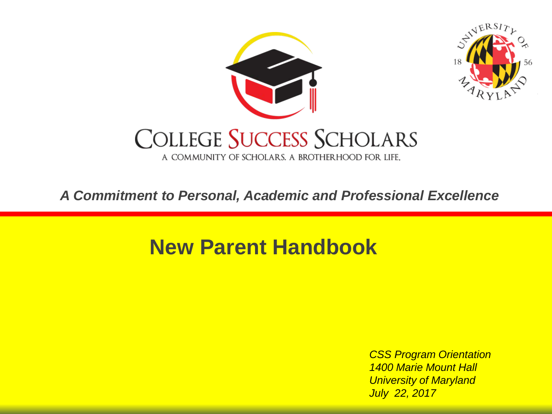

*A Commitment to Personal, Academic and Professional Excellence*

### **New Parent Handbook**

*CSS Program Orientation 1400 Marie Mount Hall University of Maryland July 22, 2017*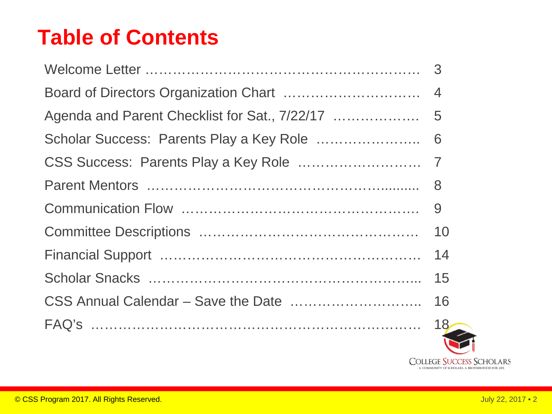### **Table of Contents**

| 10             |
|----------------|
| 14             |
| 15             |
| 16             |
| 18<br><b>R</b> |

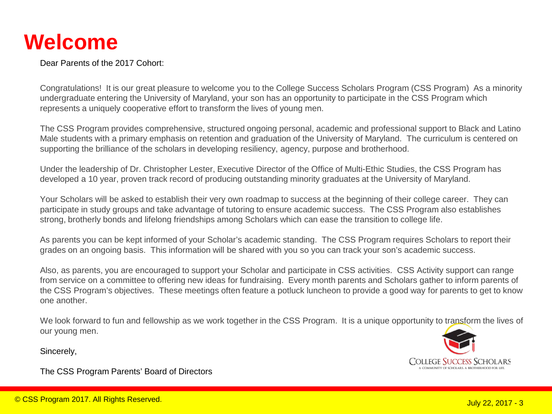### **Welcome**

Dear Parents of the 2017 Cohort:

Congratulations! It is our great pleasure to welcome you to the College Success Scholars Program (CSS Program) As a minority undergraduate entering the University of Maryland, your son has an opportunity to participate in the CSS Program which represents a uniquely cooperative effort to transform the lives of young men.

The CSS Program provides comprehensive, structured ongoing personal, academic and professional support to Black and Latino Male students with a primary emphasis on retention and graduation of the University of Maryland. The curriculum is centered on supporting the brilliance of the scholars in developing resiliency, agency, purpose and brotherhood.

Under the leadership of Dr. Christopher Lester, Executive Director of the Office of Multi-Ethic Studies, the CSS Program has developed a 10 year, proven track record of producing outstanding minority graduates at the University of Maryland.

Your Scholars will be asked to establish their very own roadmap to success at the beginning of their college career. They can participate in study groups and take advantage of tutoring to ensure academic success. The CSS Program also establishes strong, brotherly bonds and lifelong friendships among Scholars which can ease the transition to college life.

As parents you can be kept informed of your Scholar's academic standing. The CSS Program requires Scholars to report their grades on an ongoing basis. This information will be shared with you so you can track your son's academic success.

Also, as parents, you are encouraged to support your Scholar and participate in CSS activities. CSS Activity support can range from service on a committee to offering new ideas for fundraising. Every month parents and Scholars gather to inform parents of the CSS Program's objectives. These meetings often feature a potluck luncheon to provide a good way for parents to get to know one another.

We look forward to fun and fellowship as we work together in the CSS Program. It is a unique opportunity to transform the lives of our young men.

Sincerely,

The CSS Program Parents' Board of Directors

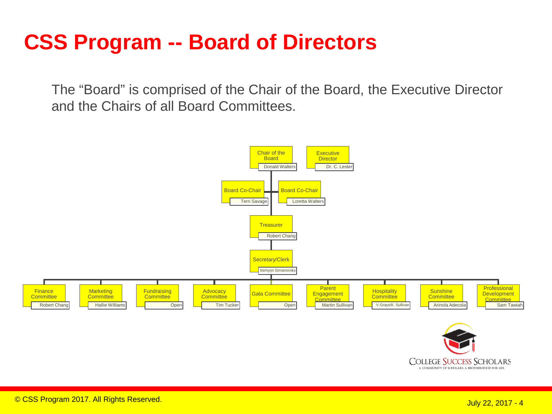### **CSS Program -- Board of Directors**

The "Board" is comprised of the Chair of the Board, the Executive Director and the Chairs of all Board Committees.

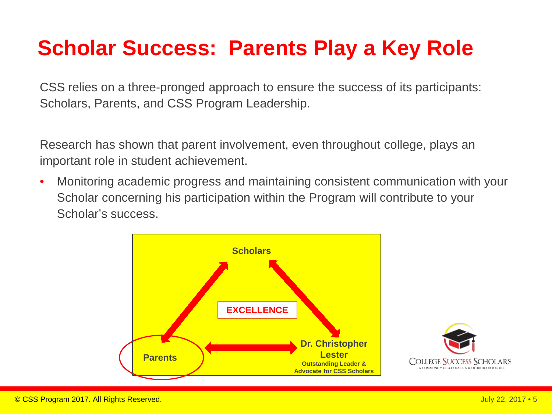### **Scholar Success: Parents Play a Key Role**

CSS relies on a three-pronged approach to ensure the success of its participants: Scholars, Parents, and CSS Program Leadership.

Research has shown that parent involvement, even throughout college, plays an important role in student achievement.

• Monitoring academic progress and maintaining consistent communication with your Scholar concerning his participation within the Program will contribute to your Scholar's success.



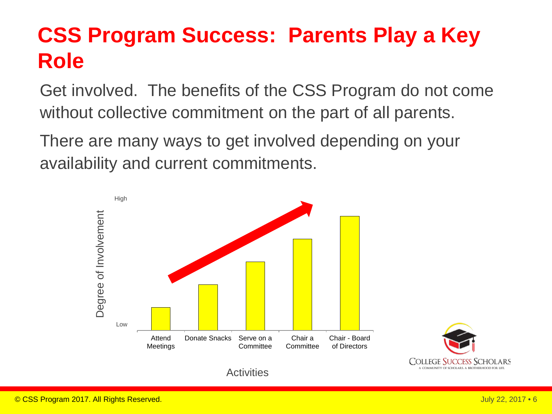## **CSS Program Success: Parents Play a Key Role**

Get involved. The benefits of the CSS Program do not come without collective commitment on the part of all parents.

There are many ways to get involved depending on your availability and current commitments.



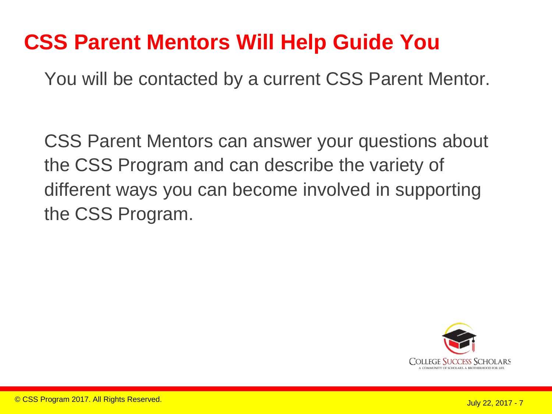### **CSS Parent Mentors Will Help Guide You**

You will be contacted by a current CSS Parent Mentor.

CSS Parent Mentors can answer your questions about the CSS Program and can describe the variety of different ways you can become involved in supporting the CSS Program.

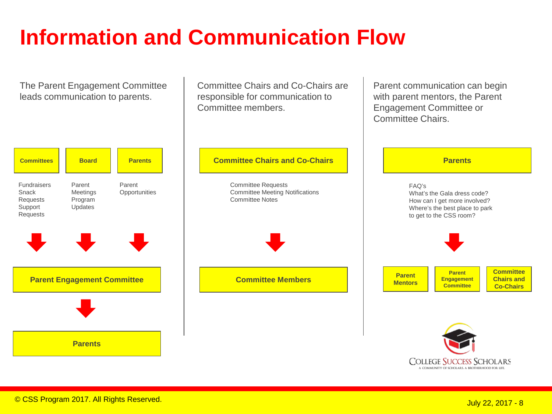## **Information and Communication Flow**

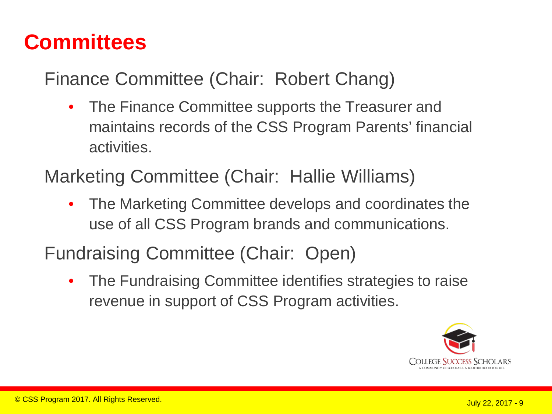Finance Committee (Chair: Robert Chang)

- The Finance Committee supports the Treasurer and maintains records of the CSS Program Parents' financial activities.
- Marketing Committee (Chair: Hallie Williams)
	- The Marketing Committee develops and coordinates the use of all CSS Program brands and communications.

Fundraising Committee (Chair: Open)

• The Fundraising Committee identifies strategies to raise revenue in support of CSS Program activities.

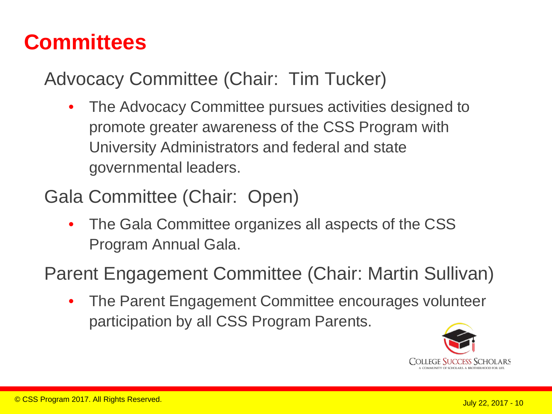Advocacy Committee (Chair: Tim Tucker)

- The Advocacy Committee pursues activities designed to promote greater awareness of the CSS Program with University Administrators and federal and state governmental leaders.
- Gala Committee (Chair: Open)
	- The Gala Committee organizes all aspects of the CSS Program Annual Gala.

Parent Engagement Committee (Chair: Martin Sullivan)

• The Parent Engagement Committee encourages volunteer participation by all CSS Program Parents.

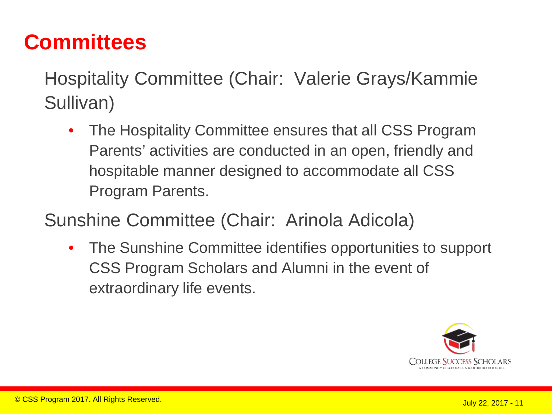Hospitality Committee (Chair: Valerie Grays/Kammie Sullivan)

• The Hospitality Committee ensures that all CSS Program Parents' activities are conducted in an open, friendly and hospitable manner designed to accommodate all CSS Program Parents.

Sunshine Committee (Chair: Arinola Adicola)

• The Sunshine Committee identifies opportunities to support CSS Program Scholars and Alumni in the event of extraordinary life events.

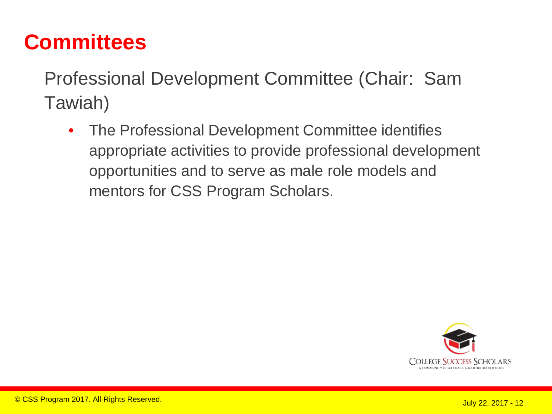Professional Development Committee (Chair: Sam Tawiah)

• The Professional Development Committee identifies appropriate activities to provide professional development opportunities and to serve as male role models and mentors for CSS Program Scholars.

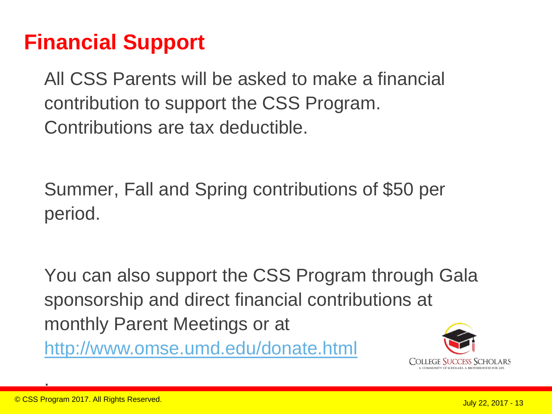### **Financial Support**

All CSS Parents will be asked to make a financial contribution to support the CSS Program. Contributions are tax deductible.

Summer, Fall and Spring contributions of \$50 per period.

You can also support the CSS Program through Gala sponsorship and direct financial contributions at monthly Parent Meetings or at <http://www.omse.umd.edu/donate.html>



.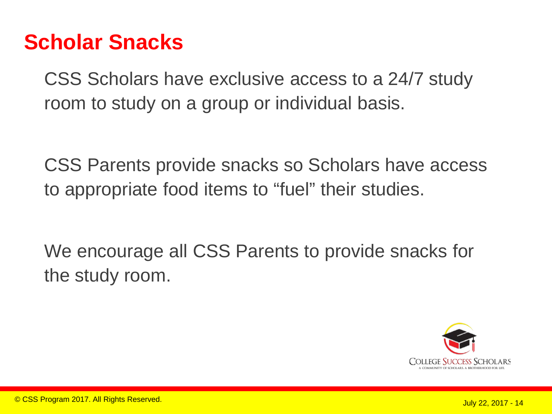### **Scholar Snacks**

CSS Scholars have exclusive access to a 24/7 study room to study on a group or individual basis.

CSS Parents provide snacks so Scholars have access to appropriate food items to "fuel" their studies.

We encourage all CSS Parents to provide snacks for the study room.

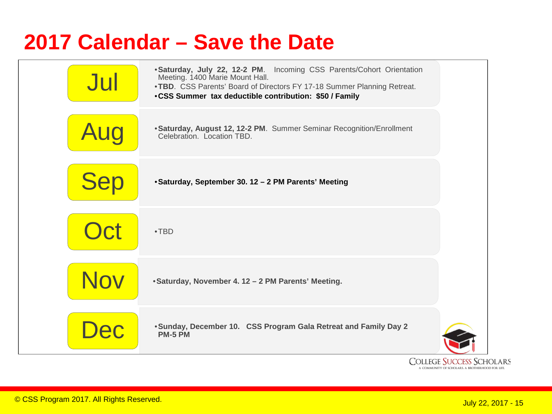### **2017 Calendar – Save the Date**



**COMMUNITY OF SCHOLARS. A BROTHERHOOD FOR LIFE**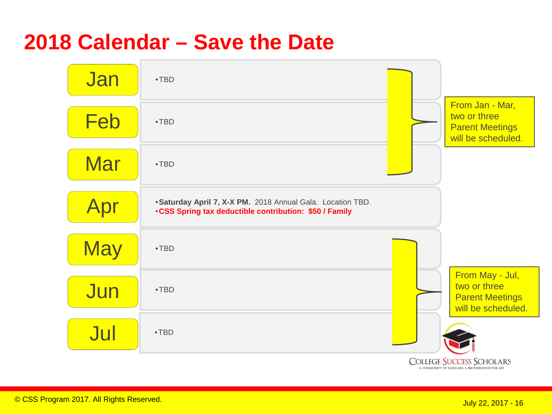### **2018 Calendar – Save the Date**

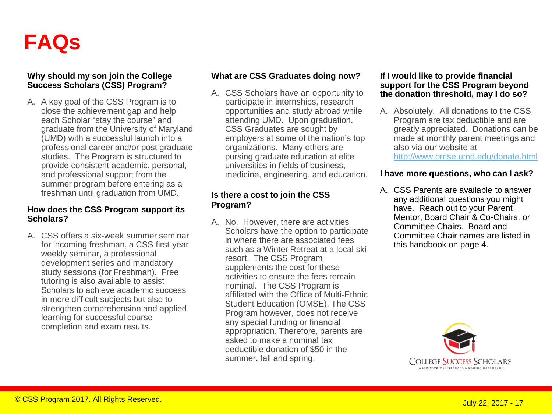

#### **Why should my son join the College Success Scholars (CSS) Program?**

A. A key goal of the CSS Program is to close the achievement gap and help each Scholar "stay the course" and graduate from the University of Maryland (UMD) with a successful launch into a professional career and/or post graduate studies. The Program is structured to provide consistent academic, personal, and professional support from the summer program before entering as a freshman until graduation from UMD.

#### **How does the CSS Program support its Scholars?**

A. CSS offers a six-week summer seminar for incoming freshman, a CSS first-year weekly seminar, a professional development series and mandatory study sessions (for Freshman). Free tutoring is also available to assist Scholars to achieve academic success in more difficult subjects but also to strengthen comprehension and applied learning for successful course completion and exam results.

#### **What are CSS Graduates doing now?**

A. CSS Scholars have an opportunity to participate in internships, research opportunities and study abroad while attending UMD. Upon graduation, CSS Graduates are sought by employers at some of the nation's top organizations. Many others are pursing graduate education at elite universities in fields of business, medicine, engineering, and education.

#### **Is there a cost to join the CSS Program?**

A. No. However, there are activities Scholars have the option to participate in where there are associated fees such as a Winter Retreat at a local ski resort. The CSS Program supplements the cost for these activities to ensure the fees remain nominal. The CSS Program is affiliated with the Office of Multi-Ethnic Student Education (OMSE). The CSS Program however, does not receive any special funding or financial appropriation. Therefore, parents are asked to make a nominal tax deductible donation of \$50 in the summer, fall and spring.

#### **If I would like to provide financial support for the CSS Program beyond the donation threshold, may I do so?**

A. Absolutely. All donations to the CSS Program are tax deductible and are greatly appreciated. Donations can be made at monthly parent meetings and also via our website at <http://www.omse.umd.edu/donate.html>

#### **I have more questions, who can I ask?**

A. CSS Parents are available to answer any additional questions you might have. Reach out to your Parent Mentor, Board Chair & Co-Chairs, or Committee Chairs. Board and Committee Chair names are listed in this handbook on page 4.

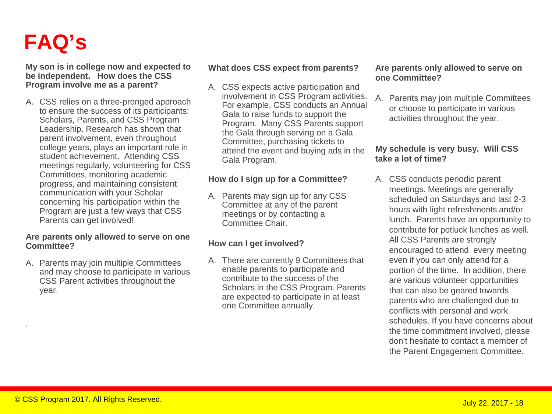### **FAQ's**

**My son is in college now and expected to be independent. How does the CSS Program involve me as a parent?** 

A. CSS relies on a three-pronged approach to ensure the success of its participants: Scholars, Parents, and CSS Program Leadership. Research has shown that parent involvement, even throughout college years, plays an important role in student achievement. Attending CSS meetings regularly, volunteering for CSS Committees, monitoring academic progress, and maintaining consistent communication with your Scholar concerning his participation within the Program are just a few ways that CSS Parents can get involved!

#### **Are parents only allowed to serve on one Committee?**

A. Parents may join multiple Committees and may choose to participate in various CSS Parent activities throughout the year.

#### **What does CSS expect from parents?**

A. CSS expects active participation and involvement in CSS Program activities. For example, CSS conducts an Annual Gala to raise funds to support the Program. Many CSS Parents support the Gala through serving on a Gala Committee, purchasing tickets to attend the event and buying ads in the Gala Program.

#### **How do I sign up for a Committee?**

A. Parents may sign up for any CSS Committee at any of the parent meetings or by contacting a Committee Chair.

### **How can I get involved?**

A. There are currently 9 Committees that enable parents to participate and contribute to the success of the Scholars in the CSS Program. Parents are expected to participate in at least one Committee annually.

#### **Are parents only allowed to serve on one Committee?**

A. Parents may join multiple Committees or choose to participate in various activities throughout the year.

#### **My schedule is very busy. Will CSS take a lot of time?**

A. CSS conducts periodic parent meetings. Meetings are generally scheduled on Saturdays and last 2-3 hours with light refreshments and/or lunch. Parents have an opportunity to contribute for potluck lunches as well. All CSS Parents are strongly encouraged to attend every meeting even if you can only attend for a portion of the time. In addition, there are various volunteer opportunities that can also be geared towards parents who are challenged due to conflicts with personal and work schedules. If you have concerns about the time commitment involved, please don't hesitate to contact a member of the Parent Engagement Committee.

.